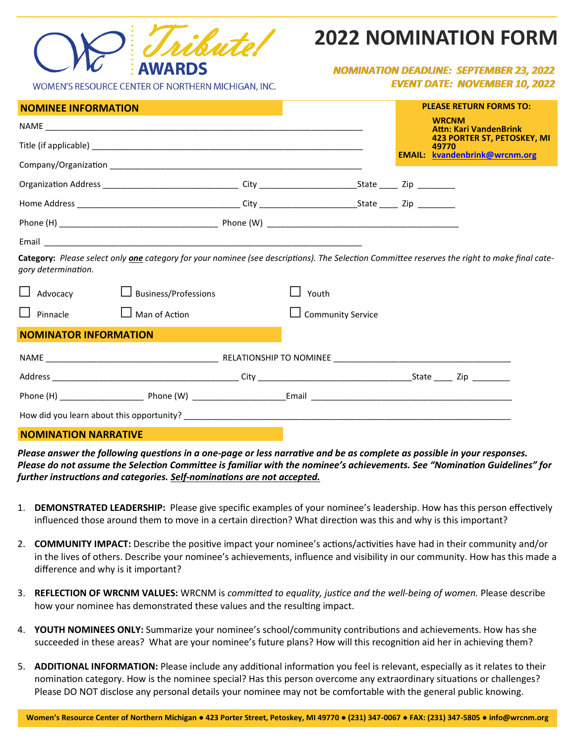

|                              | $\blacksquare$                                                                                                                                       |  |                          |  | <b>Attn: Kari VandenBrink</b>                                                       |  |
|------------------------------|------------------------------------------------------------------------------------------------------------------------------------------------------|--|--------------------------|--|-------------------------------------------------------------------------------------|--|
|                              |                                                                                                                                                      |  |                          |  | <b>423 PORTER ST, PETOSKEY, MI</b><br>49770<br><b>EMAIL:</b> kvandenbrink@wrcnm.org |  |
|                              |                                                                                                                                                      |  |                          |  |                                                                                     |  |
|                              |                                                                                                                                                      |  |                          |  |                                                                                     |  |
|                              |                                                                                                                                                      |  |                          |  |                                                                                     |  |
|                              |                                                                                                                                                      |  |                          |  |                                                                                     |  |
|                              |                                                                                                                                                      |  |                          |  |                                                                                     |  |
| gory determination.          | Category: Please select only <i>one</i> category for your nominee (see descriptions). The Selection Committee reserves the right to make final cate- |  |                          |  |                                                                                     |  |
|                              | $\Box$ Advocacy $\Box$ Business/Professions                                                                                                          |  | Youth                    |  |                                                                                     |  |
|                              | $\Box$ Pinnacle $\Box$ Man of Action                                                                                                                 |  | $\Box$ Community Service |  |                                                                                     |  |
| <b>NOMINATOR INFORMATION</b> |                                                                                                                                                      |  |                          |  |                                                                                     |  |
|                              |                                                                                                                                                      |  |                          |  |                                                                                     |  |
|                              |                                                                                                                                                      |  |                          |  |                                                                                     |  |
|                              |                                                                                                                                                      |  | Email                    |  |                                                                                     |  |

**NOMINATION NARRATIVE**

How did you learn about this opportunity?

*Please answer the following questions in a one-page or less narrative and be as complete as possible in your responses. Please do not assume the Selection Committee is familiar with the nominee's achievements. See "Nomination Guidelines" for further instructions and categories. Self-nominations are not accepted.*

- 1. **DEMONSTRATED LEADERSHIP:** Please give specific examples of your nominee's leadership. How has this person effectively influenced those around them to move in a certain direction? What direction was this and why is this important?
- 2. **COMMUNITY IMPACT:** Describe the positive impact your nominee's actions/activities have had in their community and/or in the lives of others. Describe your nominee's achievements, influence and visibility in our community. How has this made a difference and why is it important?
- 3. **REFLECTION OF WRCNM VALUES:** WRCNM is *committed to equality, justice and the well-being of women.* Please describe how your nominee has demonstrated these values and the resulting impact.
- 4. **YOUTH NOMINEES ONLY:** Summarize your nominee's school/community contributions and achievements. How has she succeeded in these areas? What are your nominee's future plans? How will this recognition aid her in achieving them?
- 5. **ADDITIONAL INFORMATION:** Please include any additional information you feel is relevant, especially as it relates to their nomination category. How is the nominee special? Has this person overcome any extraordinary situations or challenges? Please DO NOT disclose any personal details your nominee may not be comfortable with the general public knowing.